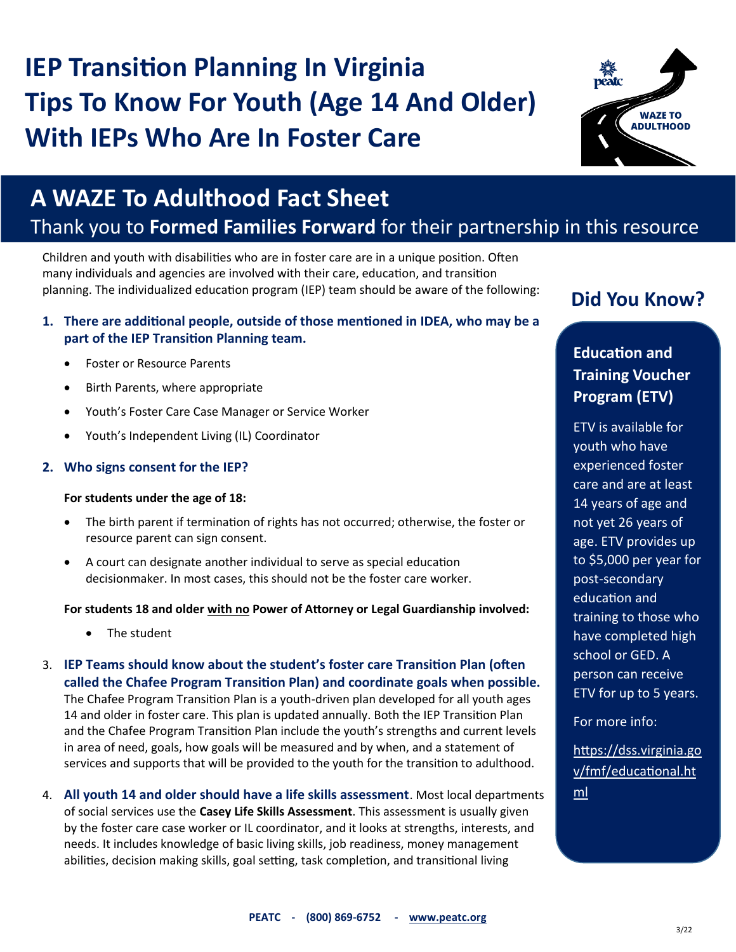# **IEP Transition Planning In Virginia Tips To Know For Youth (Age 14 And Older) With IEPs Who Are In Foster Care**



## **A WAZE To Adulthood Fact Sheet**

## Thank you to **Formed Families Forward** for their partnership in this resource

Children and youth with disabilities who are in foster care are in a unique position. Often many individuals and agencies are involved with their care, education, and transition planning. The individualized education program (IEP) team should be aware of the following:

#### **1. There are additional people, outside of those mentioned in IDEA, who may be a part of the IEP Transition Planning team.**

- Foster or Resource Parents
- Birth Parents, where appropriate
- Youth's Foster Care Case Manager or Service Worker
- Youth's Independent Living (IL) Coordinator

#### **2. Who signs consent for the IEP?**

#### **For students under the age of 18:**

- The birth parent if termination of rights has not occurred; otherwise, the foster or resource parent can sign consent.
- A court can designate another individual to serve as special education decisionmaker. In most cases, this should not be the foster care worker.

#### **For students 18 and older with no Power of Attorney or Legal Guardianship involved:**

- The student
- 3. **IEP Teams should know about the student's foster care Transition Plan (often called the Chafee Program Transition Plan) and coordinate goals when possible.**  The Chafee Program Transition Plan is a youth-driven plan developed for all youth ages 14 and older in foster care. This plan is updated annually. Both the IEP Transition Plan and the Chafee Program Transition Plan include the youth's strengths and current levels in area of need, goals, how goals will be measured and by when, and a statement of services and supports that will be provided to the youth for the transition to adulthood.
- 4. **All youth 14 and older should have a life skills assessment**. Most local departments of social services use the **Casey Life Skills Assessment**. This assessment is usually given by the foster care case worker or IL coordinator, and it looks at strengths, interests, and needs. It includes knowledge of basic living skills, job readiness, money management abilities, decision making skills, goal setting, task completion, and transitional living

## **Did You Know?**

## **Education and Training Voucher Program (ETV)**

ETV is available for youth who have experienced foster care and are at least 14 years of age and not yet 26 years of age. ETV provides up to \$5,000 per year for post-secondary education and training to those who have completed high school or GED. A person can receive ETV for up to 5 years.

For more info:

[https://dss.virginia.go](https://dss.virginia.gov/fmf/educational.html) [v/fmf/educational.ht](https://dss.virginia.gov/fmf/educational.html) [ml](https://dss.virginia.gov/fmf/educational.html)